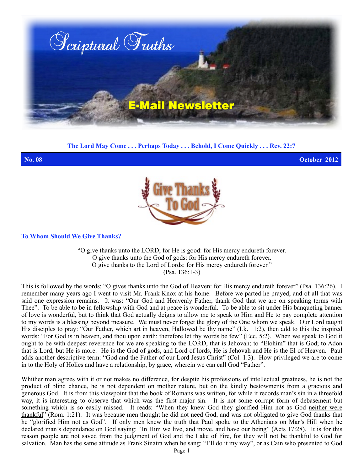

**The Lord May Come . . . Perhaps Today . . . Behold, I Come Quickly . . . Rev. 22:7**

**No. 08 October 2012**



**To Whom Should We Give Thanks?**

"O give thanks unto the LORD; for He is good: for His mercy endureth forever. O give thanks unto the God of gods: for His mercy endureth forever. O give thanks to the Lord of Lords: for His mercy endureth forever." (Psa. 136:1-3)

This is followed by the words: "O gives thanks unto the God of Heaven: for His mercy endureth forever" (Psa. 136:26). I remember many years ago I went to visit Mr. Frank Knox at his home. Before we parted he prayed, and of all that was said one expression remains. It was: "Our God and Heavenly Father, thank God that we are on speaking terms with Thee". To be able to be in fellowship with God and at peace is wonderful. To be able to sit under His banqueting banner of love is wonderful, but to think that God actually deigns to allow me to speak to Him and He to pay complete attention to my words is a blessing beyond measure. We must never forget the glory of the One whom we speak. Our Lord taught His disciples to pray: "Our Father, which art in heaven, Hallowed be thy name" (Lk. 11:2), then add to this the inspired words: "For God is in heaven, and thou upon earth: therefore let thy words be few" (Ecc. 5:2). When we speak to God it ought to be with deepest reverence for we are speaking to the LORD, that is Jehovah; to "Elohim" that is God; to Adon that is Lord, but He is more. He is the God of gods, and Lord of lords, He is Jehovah and He is the El of Heaven. Paul adds another descriptive term: "God and the Father of our Lord Jesus Christ" (Col. 1:3). How privileged we are to come in to the Holy of Holies and have a relationship, by grace, wherein we can call God "Father".

Whither man agrees with it or not makes no difference, for despite his professions of intellectual greatness, he is not the product of blind chance, he is not dependent on mother nature, but on the kindly bestowments from a gracious and generous God. It is from this viewpoint that the book of Romans was written, for while it records man's sin in a threefold way, it is interesting to observe that which was the first major sin. It is not some corrupt form of debasement but something which is so easily missed. It reads: "When they knew God they glorified Him not as God neither were thankful" (Rom. 1:21). It was because men thought he did not need God, and was not obligated to give God thanks that he "glorified Him not as God". If only men knew the truth that Paul spoke to the Athenians on Mar's Hill when he declared man's dependance on God saying: "In Him we live, and move, and have our being" (Acts 17:28). It is for this reason people are not saved from the judgment of God and the Lake of Fire, for they will not be thankful to God for salvation. Man has the same attitude as Frank Sinatra when he sang: "I'll do it my way", or as Cain who presented to God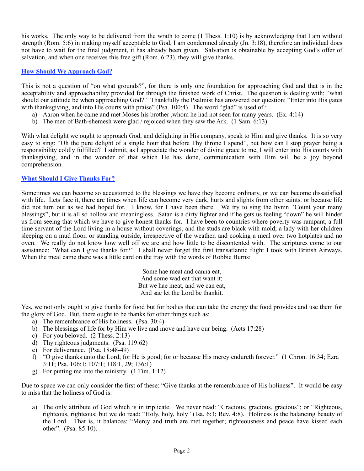his works. The only way to be delivered from the wrath to come (1 Thess. 1:10) is by acknowledging that I am without strength (Rom. 5:6) in making myself acceptable to God, I am condemned already (Jn. 3:18), therefore an individual does not have to wait for the final judgment, it has already been given. Salvation is obtainable by accepting God's offer of salvation, and when one receives this free gift (Rom. 6:23), they will give thanks.

## **How Should We Approach God?**

This is not a question of "on what grounds?", for there is only one foundation for approaching God and that is in the acceptability and approachability provided for through the finished work of Christ. The question is dealing with: "what should our attitude be when approaching God?" Thankfully the Psalmist has answered our question: "Enter into His gates with thanksgiving, and into His courts with praise" (Psa. 100:4). The word "glad" is used of :

- a) Aaron when he came and met Moses his brother ,whom he had not seen for many years. (Ex. 4:14)
- b) The men of Bath-shemesh were glad / rejoiced when they saw the Ark. (1 Sam. 6:13)

With what delight we ought to approach God, and delighting in His company, speak to Him and give thanks. It is so very easy to sing: "Oh the pure delight of a single hour that before Thy throne I spend", but how can I stop prayer being a responsibility coldly fulfilled? I submit, as I appreciate the wonder of divine grace to me, I will enter into His courts with thanksgiving, and in the wonder of that which He has done, communication with Him will be a joy beyond comprehension.

## **What Should I Give Thanks For?**

Sometimes we can become so accustomed to the blessings we have they become ordinary, or we can become dissatisfied with life. Lets face it, there are times when life can become very dark, hurts and slights from other saints, or because life did not turn out as we had hoped for. I know, for I have been there. We try to sing the hymn "Count your many blessings", but it is all so hollow and meaningless. Satan is a dirty fighter and if he gets us feeling "down" he will hinder us from seeing that which we have to give honest thanks for. I have been to countries where poverty was rampant, a full time servant of the Lord living in a house without coverings, and the studs are black with mold; a lady with her children sleeping on a mud floor, or standing outside, irrespective of the weather, and cooking a meal over two hotplates and no oven. We really do not know how well off we are and how little to be discontented with. The scriptures come to our assistance: "What can I give thanks for?" I shall never forget the first transatlantic flight I took with British Airways. When the meal came there was a little card on the tray with the words of Robbie Burns:

> Some hae meat and canna eat, And some wad eat that want it; But we hae meat, and we can eat, And sae let the Lord be thankit.

Yes, we not only ought to give thanks for food but for bodies that can take the energy the food provides and use them for the glory of God. But, there ought to be thanks for other things such as:

- a) The remembrance of His holiness. (Psa. 30:4)
- b) The blessings of life for by Him we live and move and have our being. (Acts 17:28)
- c) For you beloved. (2 Thess. 2:13)
- d) Thy righteous judgments. (Psa. 119:62)
- e) For deliverance. (Psa. 18:48-49)
- f) "O give thanks unto the Lord; for He is good; for or because His mercy endureth forever." (1 Chron. 16:34; Ezra 3:11; Psa. 106:1; 107:1; 118:1, 29; 136:1)
- g) For putting me into the ministry.(1 Tim. 1:12)

Due to space we can only consider the first of these: "Give thanks at the remembrance of His holiness". It would be easy to miss that the holiness of God is:

a) The only attribute of God which is in triplicate. We never read: "Gracious, gracious, gracious"; or "Righteous, righteous, righteous; but we do read: "Holy, holy, holy" (Isa. 6:3; Rev. 4:8). Holiness is the balancing beauty of the Lord. That is, it balances: "Mercy and truth are met together; righteousness and peace have kissed each other". (Psa. 85:10).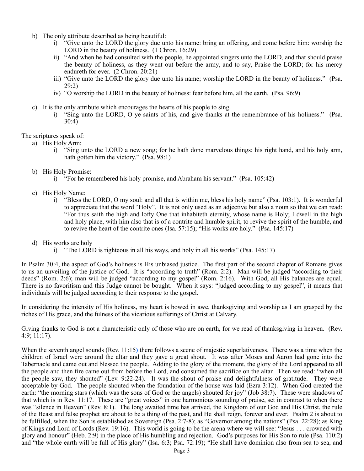- b) The only attribute described as being beautiful:
	- i) "Give unto the LORD the glory due unto his name: bring an offering, and come before him: worship the LORD in the beauty of holiness. (1 Chron. 16:29)
	- ii) "And when he had consulted with the people, he appointed singers unto the LORD, and that should praise the beauty of holiness, as they went out before the army, and to say, Praise the LORD; for his mercy endureth for ever. (2 Chron. 20:21)
	- iii) "Give unto the LORD the glory due unto his name; worship the LORD in the beauty of holiness." (Psa. 29:2)
	- iv) "O worship the LORD in the beauty of holiness: fear before him, all the earth. (Psa. 96:9)
- c) It is the only attribute which encourages the hearts of his people to sing.
	- i) "Sing unto the LORD, O ye saints of his, and give thanks at the remembrance of his holiness." (Psa. 30:4)

The scriptures speak of:

- a) His Holy Arm:
	- i) "Sing unto the LORD a new song; for he hath done marvelous things: his right hand, and his holy arm, hath gotten him the victory." (Psa. 98:1)
- b) His Holy Promise:
	- i) "For he remembered his holy promise, and Abraham his servant." (Psa. 105:42)
- c) His Holy Name:
	- i) "Bless the LORD, O my soul: and all that is within me, bless his holy name" (Psa. 103:1). It is wonderful to appreciate that the word "Holy". It is not only used as an adjective but also a noun so that we can read: "For thus saith the high and lofty One that inhabiteth eternity, whose name is Holy; I dwell in the high and holy place, with him also that is of a contrite and humble spirit, to revive the spirit of the humble, and to revive the heart of the contrite ones (Isa. 57:15); "His works are holy." (Psa. 145:17)
- d) His works are holy
	- i) "The LORD is righteous in all his ways, and holy in all his works" (Psa. 145:17)

In Psalm 30:4, the aspect of God's holiness is His unbiased justice. The first part of the second chapter of Romans gives to us an unveiling of the justice of God. It is "according to truth" (Rom. 2:2). Man will be judged "according to their deeds" (Rom. 2:6); man will be judged "according to my gospel" (Rom. 2:16). With God, all His balances are equal. There is no favoritism and this Judge cannot be bought. When it says: "judged according to my gospel", it means that individuals will be judged according to their response to the gospel.

In considering the intensity of His holiness, my heart is bowed in awe, thanksgiving and worship as I am grasped by the riches of His grace, and the fulness of the vicarious sufferings of Christ at Calvary.

Giving thanks to God is not a characteristic only of those who are on earth, for we read of thanksgiving in heaven. (Rev. 4:9; 11:17).

When the seventh angel sounds (Rev. 11:15**)** there follows a scene of majestic superlativeness. There was a time when the children of Israel were around the altar and they gave a great shout. It was after Moses and Aaron had gone into the Tabernacle and came out and blessed the people. Adding to the glory of the moment, the glory of the Lord appeared to all the people and then fire came out from before the Lord, and consumed the sacrifice on the altar. Then we read: "when all the people saw, they shouted" (Lev. 9:22-24). It was the shout of praise and delightfulness of gratitude. They were acceptable by God. The people shouted when the foundation of the house was laid (Ezra 3:12). When God created the earth: "the morning stars (which was the sons of God or the angels) shouted for joy" (Job 38:7). These were shadows of that which is in Rev. 11:17. These are "great voices" in one harmonious sounding of praise, set in contrast to when there was "silence in Heaven" (Rev. 8:1). The long awaited time has arrived, the Kingdom of our God and His Christ, the rule of the Beast and false prophet are about to be a thing of the past, and He shall reign, forever and ever. Psalm 2 is about to be fulfilled, when the Son is established as Sovereign (Psa. 2:7-8); as "Governor among the nations" (Psa. 22:28); as King of Kings and Lord of Lords (Rev. 19:16). This world is going to be the arena where we will see: "Jesus . . . crowned with glory and honour" (Heb. 2:9) in the place of His humbling and rejection. God's purposes for His Son to rule (Psa. 110:2) and "the whole earth will be full of His glory" (Isa. 6:3; Psa. 72:19); "He shall have dominion also from sea to sea, and